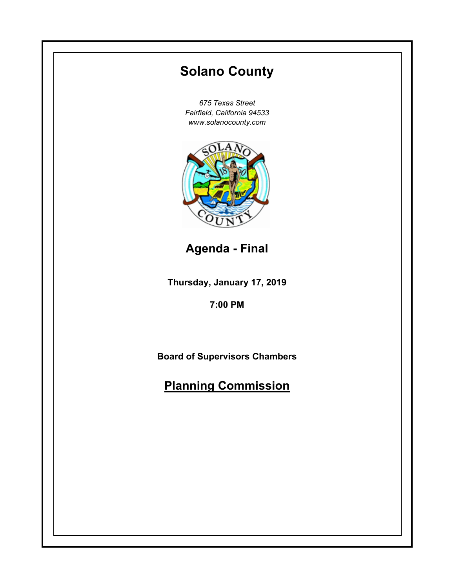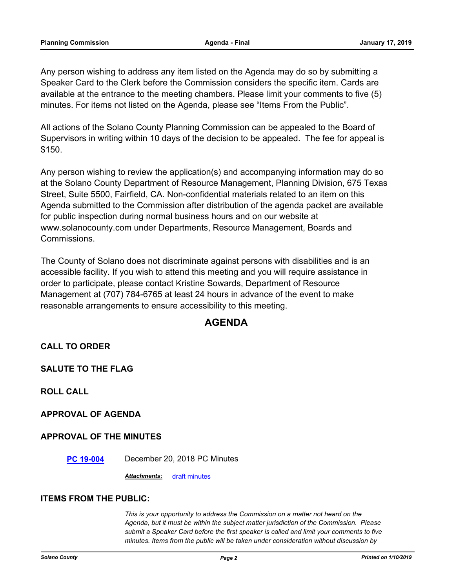Any person wishing to address any item listed on the Agenda may do so by submitting a Speaker Card to the Clerk before the Commission considers the specific item. Cards are available at the entrance to the meeting chambers. Please limit your comments to five (5) minutes. For items not listed on the Agenda, please see "Items From the Public".

All actions of the Solano County Planning Commission can be appealed to the Board of Supervisors in writing within 10 days of the decision to be appealed. The fee for appeal is \$150.

Any person wishing to review the application(s) and accompanying information may do so at the Solano County Department of Resource Management, Planning Division, 675 Texas Street, Suite 5500, Fairfield, CA. Non-confidential materials related to an item on this Agenda submitted to the Commission after distribution of the agenda packet are available for public inspection during normal business hours and on our website at www.solanocounty.com under Departments, Resource Management, Boards and Commissions.

The County of Solano does not discriminate against persons with disabilities and is an accessible facility. If you wish to attend this meeting and you will require assistance in order to participate, please contact Kristine Sowards, Department of Resource Management at (707) 784-6765 at least 24 hours in advance of the event to make reasonable arrangements to ensure accessibility to this meeting.

# **AGENDA**

**CALL TO ORDER**

**SALUTE TO THE FLAG**

**ROLL CALL**

**APPROVAL OF AGENDA**

### **APPROVAL OF THE MINUTES**

**[PC 19-004](#page-3-0)** December 20, 2018 PC Minutes

*Attachments:* [draft minutes](#page-4-0)

#### **ITEMS FROM THE PUBLIC:**

*This is your opportunity to address the Commission on a matter not heard on the Agenda, but it must be within the subject matter jurisdiction of the Commission. Please submit a Speaker Card before the first speaker is called and limit your comments to five minutes. Items from the public will be taken under consideration without discussion by*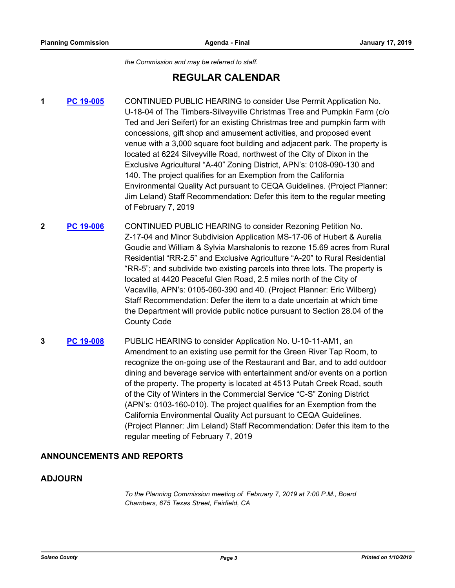*the Commission and may be referred to staff.*

# **REGULAR CALENDAR**

- **1 [PC 19-005](#page-8-0)** CONTINUED PUBLIC HEARING to consider Use Permit Application No. U-18-04 of The Timbers-Silveyville Christmas Tree and Pumpkin Farm (c/o Ted and Jeri Seifert) for an existing Christmas tree and pumpkin farm with concessions, gift shop and amusement activities, and proposed event venue with a 3,000 square foot building and adjacent park. The property is located at 6224 Silveyville Road, northwest of the City of Dixon in the Exclusive Agricultural "A-40" Zoning District, APN's: 0108-090-130 and 140. The project qualifies for an Exemption from the California Environmental Quality Act pursuant to CEQA Guidelines. (Project Planner: Jim Leland) Staff Recommendation: Defer this item to the regular meeting of February 7, 2019
- **2 [PC 19-006](#page-9-0)** CONTINUED PUBLIC HEARING to consider Rezoning Petition No. Z-17-04 and Minor Subdivision Application MS-17-06 of Hubert & Aurelia Goudie and William & Sylvia Marshalonis to rezone 15.69 acres from Rural Residential "RR-2.5" and Exclusive Agriculture "A-20" to Rural Residential "RR-5"; and subdivide two existing parcels into three lots. The property is located at 4420 Peaceful Glen Road, 2.5 miles north of the City of Vacaville, APN's: 0105-060-390 and 40. (Project Planner: Eric Wilberg) Staff Recommendation: Defer the item to a date uncertain at which time the Department will provide public notice pursuant to Section 28.04 of the County Code
- **3 [PC 19-008](#page-10-0)** PUBLIC HEARING to consider Application No. U-10-11-AM1, an Amendment to an existing use permit for the Green River Tap Room, to recognize the on-going use of the Restaurant and Bar, and to add outdoor dining and beverage service with entertainment and/or events on a portion of the property. The property is located at 4513 Putah Creek Road, south of the City of Winters in the Commercial Service "C-S" Zoning District (APN's: 0103-160-010). The project qualifies for an Exemption from the California Environmental Quality Act pursuant to CEQA Guidelines. (Project Planner: Jim Leland) Staff Recommendation: Defer this item to the regular meeting of February 7, 2019

### **ANNOUNCEMENTS AND REPORTS**

### **ADJOURN**

*To the Planning Commission meeting of February 7, 2019 at 7:00 P.M., Board Chambers, 675 Texas Street, Fairfield, CA*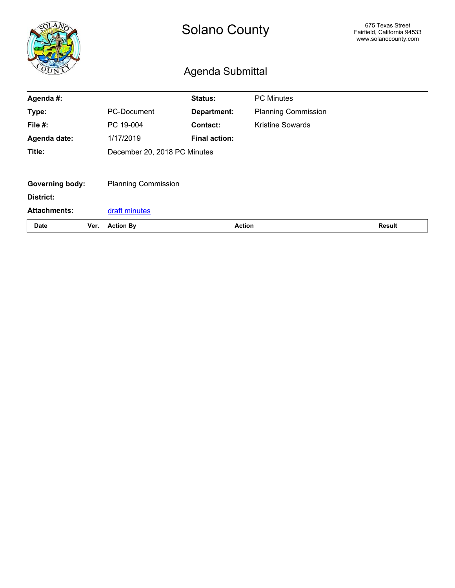<span id="page-3-0"></span>

|                        |      | <b>Solano County</b><br>Agenda Submittal |                      |                            | 675 Texas Street<br>Fairfield, California 94533<br>www.solanocounty.com |
|------------------------|------|------------------------------------------|----------------------|----------------------------|-------------------------------------------------------------------------|
|                        |      |                                          |                      |                            |                                                                         |
| Agenda #:              |      |                                          | Status:              | <b>PC Minutes</b>          |                                                                         |
| Type:                  |      | PC-Document                              | Department:          | <b>Planning Commission</b> |                                                                         |
| File #:                |      | PC 19-004                                | <b>Contact:</b>      | <b>Kristine Sowards</b>    |                                                                         |
| Agenda date:           |      | 1/17/2019                                | <b>Final action:</b> |                            |                                                                         |
| Title:                 |      | December 20, 2018 PC Minutes             |                      |                            |                                                                         |
|                        |      |                                          |                      |                            |                                                                         |
| <b>Governing body:</b> |      | <b>Planning Commission</b>               |                      |                            |                                                                         |
| District:              |      |                                          |                      |                            |                                                                         |
| <b>Attachments:</b>    |      | draft minutes                            |                      |                            |                                                                         |
| <b>Date</b>            | Ver. | <b>Action</b><br><b>Action By</b>        |                      | <b>Result</b>              |                                                                         |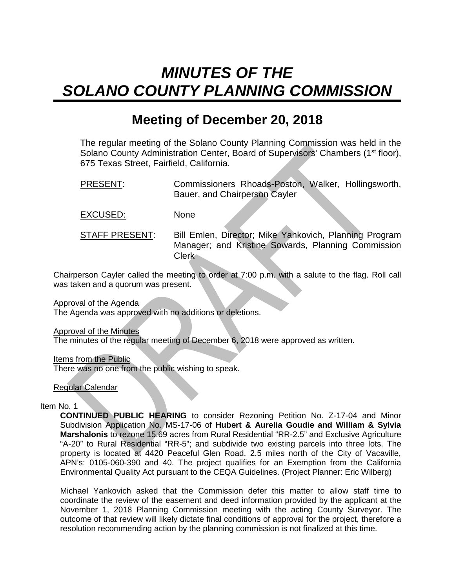# <span id="page-4-0"></span>*MINUTES OF THE SOLANO COUNTY PLANNING COMMISSION*

# **Meeting of December 20, 2018**

The regular meeting of the Solano County Planning Commission was held in the Solano County Administration Center, Board of Supervisors' Chambers (1<sup>st</sup> floor), 675 Texas Street, Fairfield, California.

PRESENT: Commissioners Rhoads-Poston, Walker, Hollingsworth, Bauer, and Chairperson Cayler

EXCUSED: None

STAFF PRESENT: Bill Emlen, Director; Mike Yankovich, Planning Program Manager; and Kristine Sowards, Planning Commission Clerk

Chairperson Cayler called the meeting to order at 7:00 p.m. with a salute to the flag. Roll call was taken and a quorum was present.

Approval of the Agenda

The Agenda was approved with no additions or deletions.

Approval of the Minutes

The minutes of the regular meeting of December 6, 2018 were approved as written.

Items from the Public

There was no one from the public wishing to speak.

Regular Calendar

Item No. 1

**CONTINUED PUBLIC HEARING** to consider Rezoning Petition No. Z-17-04 and Minor Subdivision Application No. MS-17-06 of **Hubert & Aurelia Goudie and William & Sylvia Marshalonis** to rezone 15.69 acres from Rural Residential "RR-2.5" and Exclusive Agriculture "A-20" to Rural Residential "RR-5"; and subdivide two existing parcels into three lots. The property is located at 4420 Peaceful Glen Road, 2.5 miles north of the City of Vacaville, APN's: 0105-060-390 and 40. The project qualifies for an Exemption from the California Environmental Quality Act pursuant to the CEQA Guidelines. (Project Planner: Eric Wilberg)

Michael Yankovich asked that the Commission defer this matter to allow staff time to coordinate the review of the easement and deed information provided by the applicant at the November 1, 2018 Planning Commission meeting with the acting County Surveyor. The outcome of that review will likely dictate final conditions of approval for the project, therefore a resolution recommending action by the planning commission is not finalized at this time.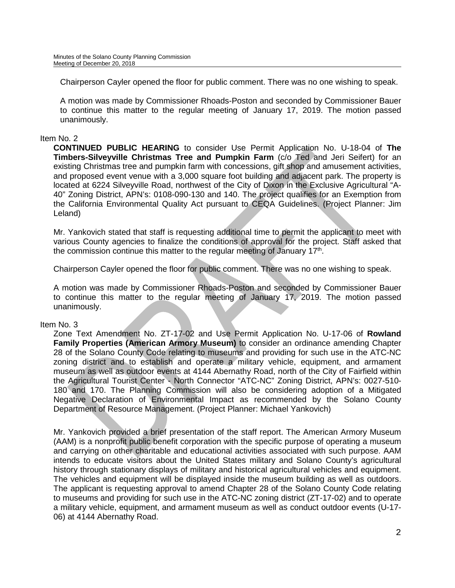Chairperson Cayler opened the floor for public comment. There was no one wishing to speak.

A motion was made by Commissioner Rhoads-Poston and seconded by Commissioner Bauer to continue this matter to the regular meeting of January 17, 2019. The motion passed unanimously.

### Item No. 2

**CONTINUED PUBLIC HEARING** to consider Use Permit Application No. U-18-04 of **The Timbers-Silveyville Christmas Tree and Pumpkin Farm** (c/o Ted and Jeri Seifert) for an existing Christmas tree and pumpkin farm with concessions, gift shop and amusement activities, and proposed event venue with a 3,000 square foot building and adjacent park. The property is located at 6224 Silveyville Road, northwest of the City of Dixon in the Exclusive Agricultural "A-40" Zoning District, APN's: 0108-090-130 and 140. The project qualifies for an Exemption from the California Environmental Quality Act pursuant to CEQA Guidelines. (Project Planner: Jim Leland)

Mr. Yankovich stated that staff is requesting additional time to permit the applicant to meet with various County agencies to finalize the conditions of approval for the project. Staff asked that the commission continue this matter to the regular meeting of January  $17<sup>th</sup>$ .

Chairperson Cayler opened the floor for public comment. There was no one wishing to speak.

A motion was made by Commissioner Rhoads-Poston and seconded by Commissioner Bauer to continue this matter to the regular meeting of January 17, 2019. The motion passed unanimously.

### Item No. 3

Zone Text Amendment No. ZT-17-02 and Use Permit Application No. U-17-06 of **Rowland Family Properties (American Armory Museum)** to consider an ordinance amending Chapter 28 of the Solano County Code relating to museums and providing for such use in the ATC-NC zoning district and to establish and operate a military vehicle, equipment, and armament museum as well as outdoor events at 4144 Abernathy Road, north of the City of Fairfield within the Agricultural Tourist Center - North Connector "ATC-NC" Zoning District, APN's: 0027-510- 180 and 170. The Planning Commission will also be considering adoption of a Mitigated Negative Declaration of Environmental Impact as recommended by the Solano County Department of Resource Management. (Project Planner: Michael Yankovich)

Mr. Yankovich provided a brief presentation of the staff report. The American Armory Museum (AAM) is a nonprofit public benefit corporation with the specific purpose of operating a museum and carrying on other charitable and educational activities associated with such purpose. AAM intends to educate visitors about the United States military and Solano County's agricultural history through stationary displays of military and historical agricultural vehicles and equipment. The vehicles and equipment will be displayed inside the museum building as well as outdoors. The applicant is requesting approval to amend Chapter 28 of the Solano County Code relating to museums and providing for such use in the ATC-NC zoning district (ZT-17-02) and to operate a military vehicle, equipment, and armament museum as well as conduct outdoor events (U-17- 06) at 4144 Abernathy Road.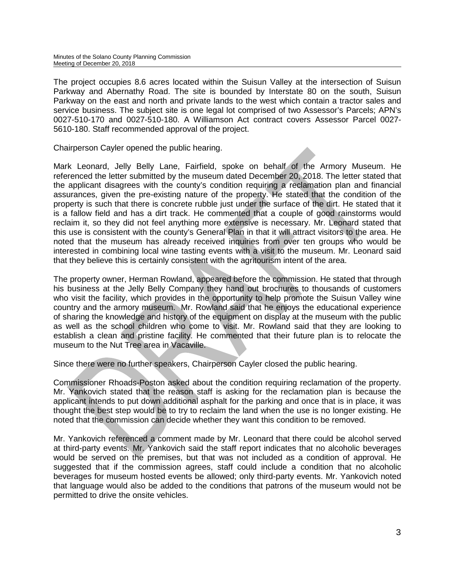The project occupies 8.6 acres located within the Suisun Valley at the intersection of Suisun Parkway and Abernathy Road. The site is bounded by Interstate 80 on the south, Suisun Parkway on the east and north and private lands to the west which contain a tractor sales and service business. The subject site is one legal lot comprised of two Assessor's Parcels; APN's 0027-510-170 and 0027-510-180. A Williamson Act contract covers Assessor Parcel 0027- 5610-180. Staff recommended approval of the project.

Chairperson Cayler opened the public hearing.

Mark Leonard, Jelly Belly Lane, Fairfield, spoke on behalf of the Armory Museum. He referenced the letter submitted by the museum dated December 20, 2018. The letter stated that the applicant disagrees with the county's condition requiring a reclamation plan and financial assurances, given the pre-existing nature of the property. He stated that the condition of the property is such that there is concrete rubble just under the surface of the dirt. He stated that it is a fallow field and has a dirt track. He commented that a couple of good rainstorms would reclaim it, so they did not feel anything more extensive is necessary. Mr. Leonard stated that this use is consistent with the county's General Plan in that it will attract visitors to the area. He noted that the museum has already received inquiries from over ten groups who would be interested in combining local wine tasting events with a visit to the museum. Mr. Leonard said that they believe this is certainly consistent with the agritourism intent of the area.

The property owner, Herman Rowland, appeared before the commission. He stated that through his business at the Jelly Belly Company they hand out brochures to thousands of customers who visit the facility, which provides in the opportunity to help promote the Suisun Valley wine country and the armory museum. Mr. Rowland said that he enjoys the educational experience of sharing the knowledge and history of the equipment on display at the museum with the public as well as the school children who come to visit. Mr. Rowland said that they are looking to establish a clean and pristine facility. He commented that their future plan is to relocate the museum to the Nut Tree area in Vacaville.

Since there were no further speakers, Chairperson Cayler closed the public hearing.

Commissioner Rhoads-Poston asked about the condition requiring reclamation of the property. Mr. Yankovich stated that the reason staff is asking for the reclamation plan is because the applicant intends to put down additional asphalt for the parking and once that is in place, it was thought the best step would be to try to reclaim the land when the use is no longer existing. He noted that the commission can decide whether they want this condition to be removed.

Mr. Yankovich referenced a comment made by Mr. Leonard that there could be alcohol served at third-party events. Mr. Yankovich said the staff report indicates that no alcoholic beverages would be served on the premises, but that was not included as a condition of approval. He suggested that if the commission agrees, staff could include a condition that no alcoholic beverages for museum hosted events be allowed; only third-party events. Mr. Yankovich noted that language would also be added to the conditions that patrons of the museum would not be permitted to drive the onsite vehicles.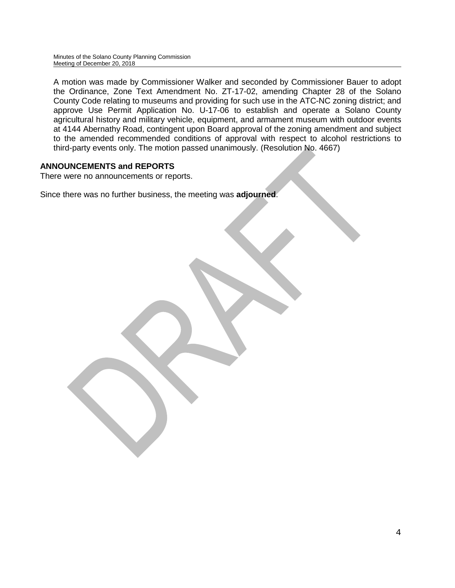A motion was made by Commissioner Walker and seconded by Commissioner Bauer to adopt the Ordinance, Zone Text Amendment No. ZT-17-02, amending Chapter 28 of the Solano County Code relating to museums and providing for such use in the ATC-NC zoning district; and approve Use Permit Application No. U-17-06 to establish and operate a Solano County agricultural history and military vehicle, equipment, and armament museum with outdoor events at 4144 Abernathy Road, contingent upon Board approval of the zoning amendment and subject to the amended recommended conditions of approval with respect to alcohol restrictions to third-party events only. The motion passed unanimously. (Resolution No. 4667)

## **ANNOUNCEMENTS and REPORTS**

There were no announcements or reports.

Since there was no further business, the meeting was **adjourned**.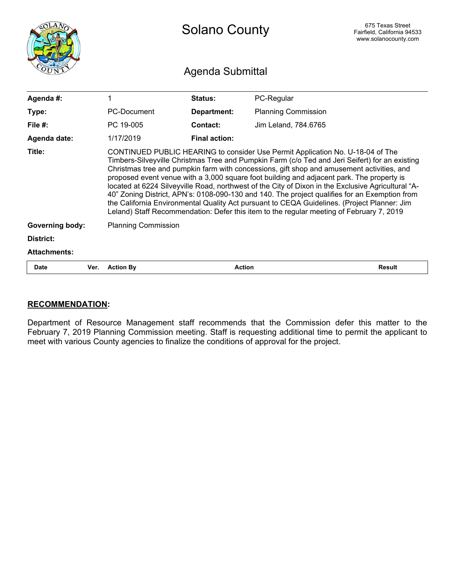<span id="page-8-0"></span>

|                        |      | <b>Solano County</b>                                                                                                                                                                                                                                                                                                                                                                                                                                                                                                                                                                                                                                                                                                                                                         |                      |                            | 675 Texas Street<br>Fairfield, California 94533<br>www.solanocounty.com |  |
|------------------------|------|------------------------------------------------------------------------------------------------------------------------------------------------------------------------------------------------------------------------------------------------------------------------------------------------------------------------------------------------------------------------------------------------------------------------------------------------------------------------------------------------------------------------------------------------------------------------------------------------------------------------------------------------------------------------------------------------------------------------------------------------------------------------------|----------------------|----------------------------|-------------------------------------------------------------------------|--|
|                        |      | Agenda Submittal                                                                                                                                                                                                                                                                                                                                                                                                                                                                                                                                                                                                                                                                                                                                                             |                      |                            |                                                                         |  |
| Agenda #:              |      | 1                                                                                                                                                                                                                                                                                                                                                                                                                                                                                                                                                                                                                                                                                                                                                                            | Status:              | PC-Regular                 |                                                                         |  |
| Type:                  |      | PC-Document                                                                                                                                                                                                                                                                                                                                                                                                                                                                                                                                                                                                                                                                                                                                                                  | Department:          | <b>Planning Commission</b> |                                                                         |  |
| File $#$ :             |      | PC 19-005                                                                                                                                                                                                                                                                                                                                                                                                                                                                                                                                                                                                                                                                                                                                                                    | Contact:             | Jim Leland, 784,6765       |                                                                         |  |
| Agenda date:           |      | 1/17/2019                                                                                                                                                                                                                                                                                                                                                                                                                                                                                                                                                                                                                                                                                                                                                                    | <b>Final action:</b> |                            |                                                                         |  |
| Title:                 |      | CONTINUED PUBLIC HEARING to consider Use Permit Application No. U-18-04 of The<br>Timbers-Silveyville Christmas Tree and Pumpkin Farm (c/o Ted and Jeri Seifert) for an existing<br>Christmas tree and pumpkin farm with concessions, gift shop and amusement activities, and<br>proposed event venue with a 3,000 square foot building and adjacent park. The property is<br>located at 6224 Silveyville Road, northwest of the City of Dixon in the Exclusive Agricultural "A-<br>40" Zoning District, APN's: 0108-090-130 and 140. The project qualifies for an Exemption from<br>the California Environmental Quality Act pursuant to CEQA Guidelines. (Project Planner: Jim<br>Leland) Staff Recommendation: Defer this item to the regular meeting of February 7, 2019 |                      |                            |                                                                         |  |
| <b>Governing body:</b> |      | <b>Planning Commission</b>                                                                                                                                                                                                                                                                                                                                                                                                                                                                                                                                                                                                                                                                                                                                                   |                      |                            |                                                                         |  |
| District:              |      |                                                                                                                                                                                                                                                                                                                                                                                                                                                                                                                                                                                                                                                                                                                                                                              |                      |                            |                                                                         |  |
| <b>Attachments:</b>    |      |                                                                                                                                                                                                                                                                                                                                                                                                                                                                                                                                                                                                                                                                                                                                                                              |                      |                            |                                                                         |  |
| <b>Date</b>            | Ver. | <b>Action By</b>                                                                                                                                                                                                                                                                                                                                                                                                                                                                                                                                                                                                                                                                                                                                                             | <b>Action</b>        |                            | <b>Result</b>                                                           |  |

# **RECOMMENDATION**:

Department of Resource Management staff recommends that the Commission defer this matter to the February 7, 2019 Planning Commission meeting. Staff is requesting additional time to permit the applicant to meet with various County agencies to finalize the conditions of approval for the project.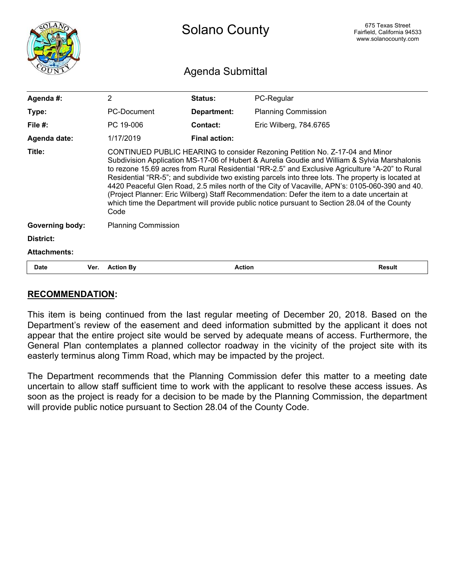<span id="page-9-0"></span>

|                        |                  | <b>Solano County</b>                                                                                                                                                                                                                                                                                                                                                                                                                                                                                                                                                                                                                                                                           |               |                            | 675 Texas Street<br>Fairfield, California 94533<br>www.solanocounty.com |  |
|------------------------|------------------|------------------------------------------------------------------------------------------------------------------------------------------------------------------------------------------------------------------------------------------------------------------------------------------------------------------------------------------------------------------------------------------------------------------------------------------------------------------------------------------------------------------------------------------------------------------------------------------------------------------------------------------------------------------------------------------------|---------------|----------------------------|-------------------------------------------------------------------------|--|
|                        | Agenda Submittal |                                                                                                                                                                                                                                                                                                                                                                                                                                                                                                                                                                                                                                                                                                |               |                            |                                                                         |  |
| Agenda #:              |                  | $\overline{2}$                                                                                                                                                                                                                                                                                                                                                                                                                                                                                                                                                                                                                                                                                 | Status:       | PC-Regular                 |                                                                         |  |
| Type:                  |                  | PC-Document                                                                                                                                                                                                                                                                                                                                                                                                                                                                                                                                                                                                                                                                                    | Department:   | <b>Planning Commission</b> |                                                                         |  |
| File $#$ :             |                  | PC 19-006                                                                                                                                                                                                                                                                                                                                                                                                                                                                                                                                                                                                                                                                                      | Contact:      | Eric Wilberg, 784.6765     |                                                                         |  |
| Agenda date:           |                  | 1/17/2019                                                                                                                                                                                                                                                                                                                                                                                                                                                                                                                                                                                                                                                                                      | Final action: |                            |                                                                         |  |
| Title:                 |                  | CONTINUED PUBLIC HEARING to consider Rezoning Petition No. Z-17-04 and Minor<br>Subdivision Application MS-17-06 of Hubert & Aurelia Goudie and William & Sylvia Marshalonis<br>to rezone 15.69 acres from Rural Residential "RR-2.5" and Exclusive Agriculture "A-20" to Rural<br>Residential "RR-5"; and subdivide two existing parcels into three lots. The property is located at<br>4420 Peaceful Glen Road, 2.5 miles north of the City of Vacaville, APN's: 0105-060-390 and 40.<br>(Project Planner: Eric Wilberg) Staff Recommendation: Defer the item to a date uncertain at<br>which time the Department will provide public notice pursuant to Section 28.04 of the County<br>Code |               |                            |                                                                         |  |
| <b>Governing body:</b> |                  | <b>Planning Commission</b>                                                                                                                                                                                                                                                                                                                                                                                                                                                                                                                                                                                                                                                                     |               |                            |                                                                         |  |
| District:              |                  |                                                                                                                                                                                                                                                                                                                                                                                                                                                                                                                                                                                                                                                                                                |               |                            |                                                                         |  |
| <b>Attachments:</b>    |                  |                                                                                                                                                                                                                                                                                                                                                                                                                                                                                                                                                                                                                                                                                                |               |                            |                                                                         |  |
| <b>Date</b>            | Ver.             | <b>Action By</b>                                                                                                                                                                                                                                                                                                                                                                                                                                                                                                                                                                                                                                                                               | <b>Action</b> |                            | <b>Result</b>                                                           |  |

## RECOMMENDATION:

This item is being continued from the last regular meeting of December 20, 2018. Based on the Department's review of the easement and deed information submitted by the applicant it does not appear that the entire project site would be served by adequate means of access. Furthermore, the General Plan contemplates a planned collector roadway in the vicinity of the project site with its easterly terminus along Timm Road, which may be impacted by the project.

The Department recommends that the Planning Commission defer this matter to a meeting date uncertain to allow staff sufficient time to work with the applicant to resolve these access issues. As soon as the project is ready for a decision to be made by the Planning Commission, the department will provide public notice pursuant to Section 28.04 of the County Code.